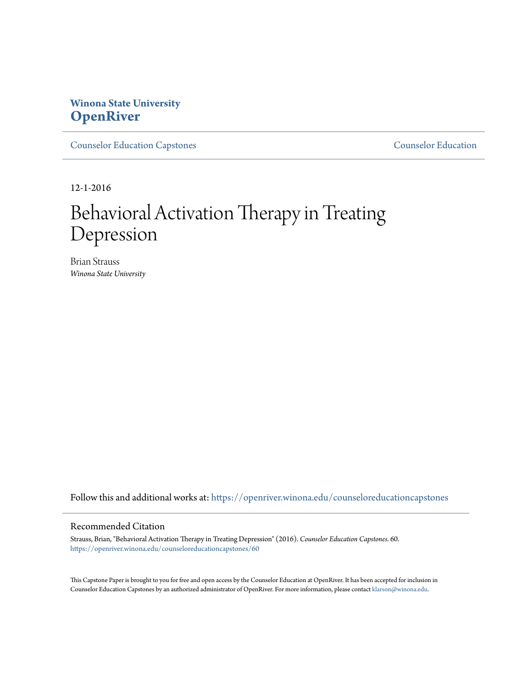# **Winona State University [OpenRiver](https://openriver.winona.edu?utm_source=openriver.winona.edu%2Fcounseloreducationcapstones%2F60&utm_medium=PDF&utm_campaign=PDFCoverPages)**

[Counselor Education Capstones](https://openriver.winona.edu/counseloreducationcapstones?utm_source=openriver.winona.edu%2Fcounseloreducationcapstones%2F60&utm_medium=PDF&utm_campaign=PDFCoverPages) [Counselor Education](https://openriver.winona.edu/counseloreducation?utm_source=openriver.winona.edu%2Fcounseloreducationcapstones%2F60&utm_medium=PDF&utm_campaign=PDFCoverPages)

12-1-2016

# Behavioral Activation Therapy in Treating Depression

Brian Strauss *Winona State University*

Follow this and additional works at: [https://openriver.winona.edu/counseloreducationcapstones](https://openriver.winona.edu/counseloreducationcapstones?utm_source=openriver.winona.edu%2Fcounseloreducationcapstones%2F60&utm_medium=PDF&utm_campaign=PDFCoverPages)

# Recommended Citation

Strauss, Brian, "Behavioral Activation Therapy in Treating Depression" (2016). *Counselor Education Capstones*. 60. [https://openriver.winona.edu/counseloreducationcapstones/60](https://openriver.winona.edu/counseloreducationcapstones/60?utm_source=openriver.winona.edu%2Fcounseloreducationcapstones%2F60&utm_medium=PDF&utm_campaign=PDFCoverPages)

This Capstone Paper is brought to you for free and open access by the Counselor Education at OpenRiver. It has been accepted for inclusion in Counselor Education Capstones by an authorized administrator of OpenRiver. For more information, please contact [klarson@winona.edu](mailto:klarson@winona.edu).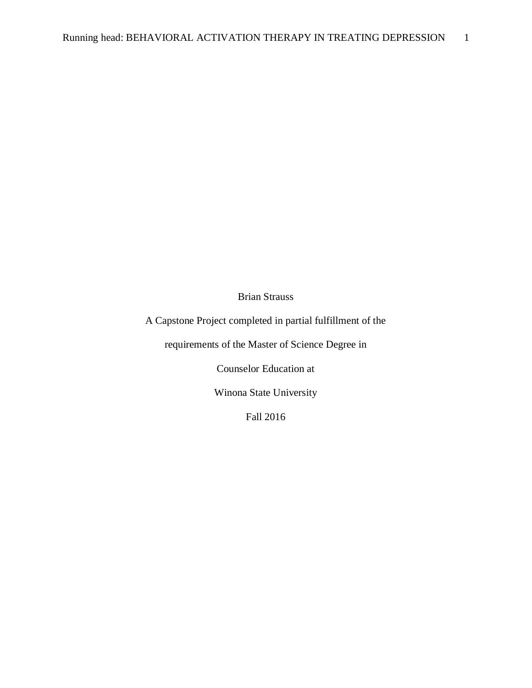Brian Strauss

A Capstone Project completed in partial fulfillment of the

requirements of the Master of Science Degree in

Counselor Education at

Winona State University

Fall 2016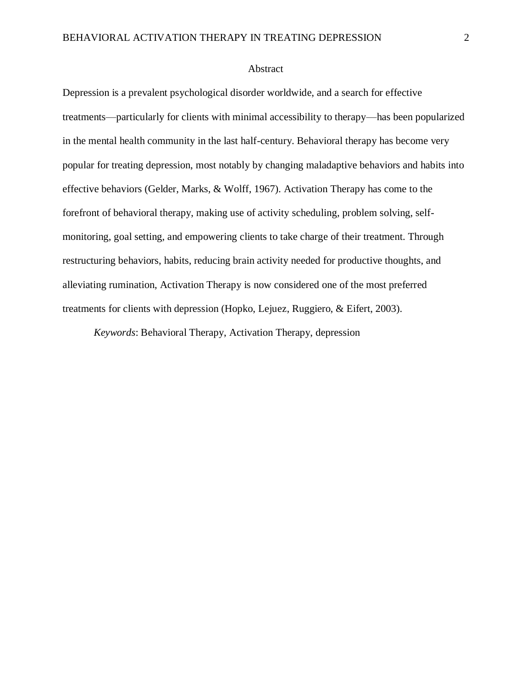## Abstract

Depression is a prevalent psychological disorder worldwide, and a search for effective treatments—particularly for clients with minimal accessibility to therapy—has been popularized in the mental health community in the last half-century. Behavioral therapy has become very popular for treating depression, most notably by changing maladaptive behaviors and habits into effective behaviors (Gelder, Marks, & Wolff, 1967). Activation Therapy has come to the forefront of behavioral therapy, making use of activity scheduling, problem solving, selfmonitoring, goal setting, and empowering clients to take charge of their treatment. Through restructuring behaviors, habits, reducing brain activity needed for productive thoughts, and alleviating rumination, Activation Therapy is now considered one of the most preferred treatments for clients with depression (Hopko, Lejuez, Ruggiero, & Eifert, 2003).

*Keywords*: Behavioral Therapy, Activation Therapy, depression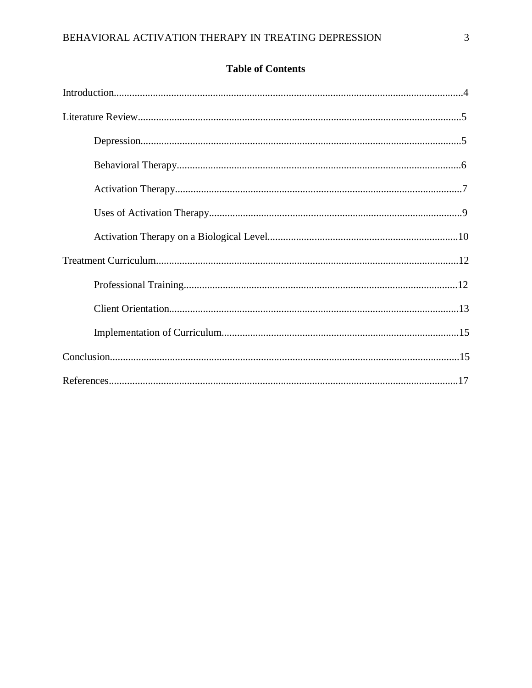# **Table of Contents**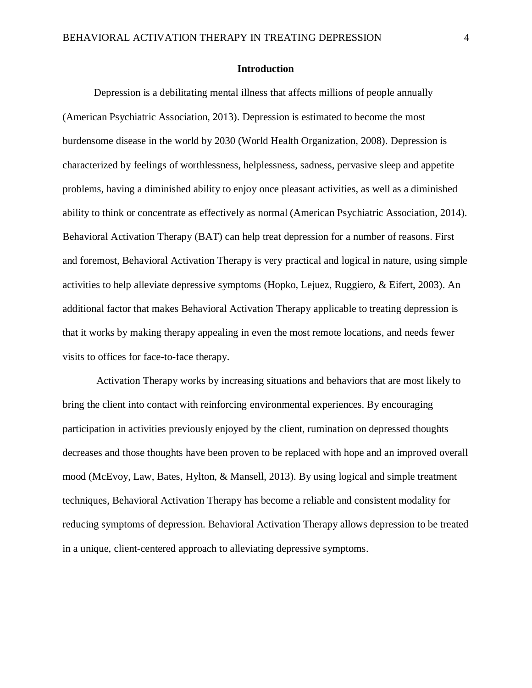#### **Introduction**

Depression is a debilitating mental illness that affects millions of people annually (American Psychiatric Association, 2013). Depression is estimated to become the most burdensome disease in the world by 2030 (World Health Organization, 2008). Depression is characterized by feelings of worthlessness, helplessness, sadness, pervasive sleep and appetite problems, having a diminished ability to enjoy once pleasant activities, as well as a diminished ability to think or concentrate as effectively as normal (American Psychiatric Association, 2014). Behavioral Activation Therapy (BAT) can help treat depression for a number of reasons. First and foremost, Behavioral Activation Therapy is very practical and logical in nature, using simple activities to help alleviate depressive symptoms (Hopko, Lejuez, Ruggiero, & Eifert, 2003). An additional factor that makes Behavioral Activation Therapy applicable to treating depression is that it works by making therapy appealing in even the most remote locations, and needs fewer visits to offices for face-to-face therapy.

Activation Therapy works by increasing situations and behaviors that are most likely to bring the client into contact with reinforcing environmental experiences. By encouraging participation in activities previously enjoyed by the client, rumination on depressed thoughts decreases and those thoughts have been proven to be replaced with hope and an improved overall mood (McEvoy, Law, Bates, Hylton, & Mansell, 2013). By using logical and simple treatment techniques, Behavioral Activation Therapy has become a reliable and consistent modality for reducing symptoms of depression. Behavioral Activation Therapy allows depression to be treated in a unique, client-centered approach to alleviating depressive symptoms.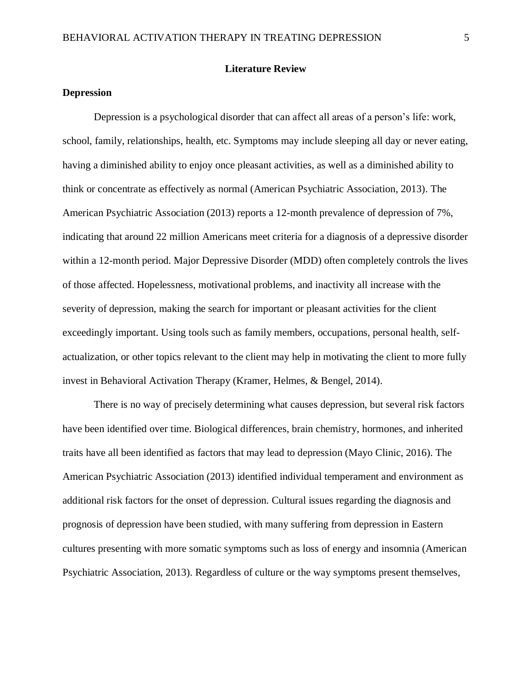# **Literature Review**

# **Depression**

Depression is a psychological disorder that can affect all areas of a person's life: work, school, family, relationships, health, etc. Symptoms may include sleeping all day or never eating, having a diminished ability to enjoy once pleasant activities, as well as a diminished ability to think or concentrate as effectively as normal (American Psychiatric Association, 2013). The American Psychiatric Association (2013) reports a 12-month prevalence of depression of 7%, indicating that around 22 million Americans meet criteria for a diagnosis of a depressive disorder within a 12-month period. Major Depressive Disorder (MDD) often completely controls the lives of those affected. Hopelessness, motivational problems, and inactivity all increase with the severity of depression, making the search for important or pleasant activities for the client exceedingly important. Using tools such as family members, occupations, personal health, selfactualization, or other topics relevant to the client may help in motivating the client to more fully invest in Behavioral Activation Therapy (Kramer, Helmes, & Bengel, 2014).

There is no way of precisely determining what causes depression, but several risk factors have been identified over time. Biological differences, brain chemistry, hormones, and inherited traits have all been identified as factors that may lead to depression (Mayo Clinic, 2016). The American Psychiatric Association (2013) identified individual temperament and environment as additional risk factors for the onset of depression. Cultural issues regarding the diagnosis and prognosis of depression have been studied, with many suffering from depression in Eastern cultures presenting with more somatic symptoms such as loss of energy and insomnia (American Psychiatric Association, 2013). Regardless of culture or the way symptoms present themselves,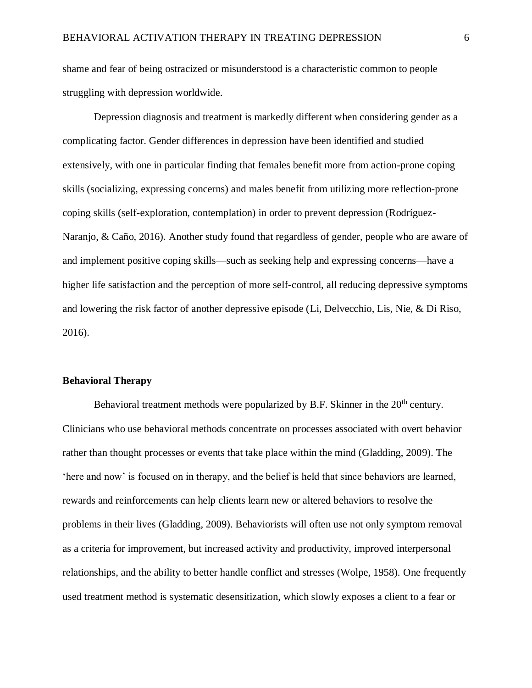shame and fear of being ostracized or misunderstood is a characteristic common to people struggling with depression worldwide.

Depression diagnosis and treatment is markedly different when considering gender as a complicating factor. Gender differences in depression have been identified and studied extensively, with one in particular finding that females benefit more from action-prone coping skills (socializing, expressing concerns) and males benefit from utilizing more reflection-prone coping skills (self-exploration, contemplation) in order to prevent depression (Rodríguez-Naranjo, & Caño, 2016). Another study found that regardless of gender, people who are aware of and implement positive coping skills—such as seeking help and expressing concerns—have a higher life satisfaction and the perception of more self-control, all reducing depressive symptoms and lowering the risk factor of another depressive episode (Li, Delvecchio, Lis, Nie, & Di Riso, 2016).

#### **Behavioral Therapy**

Behavioral treatment methods were popularized by B.F. Skinner in the 20<sup>th</sup> century. Clinicians who use behavioral methods concentrate on processes associated with overt behavior rather than thought processes or events that take place within the mind (Gladding, 2009). The 'here and now' is focused on in therapy, and the belief is held that since behaviors are learned, rewards and reinforcements can help clients learn new or altered behaviors to resolve the problems in their lives (Gladding, 2009). Behaviorists will often use not only symptom removal as a criteria for improvement, but increased activity and productivity, improved interpersonal relationships, and the ability to better handle conflict and stresses (Wolpe, 1958). One frequently used treatment method is systematic desensitization, which slowly exposes a client to a fear or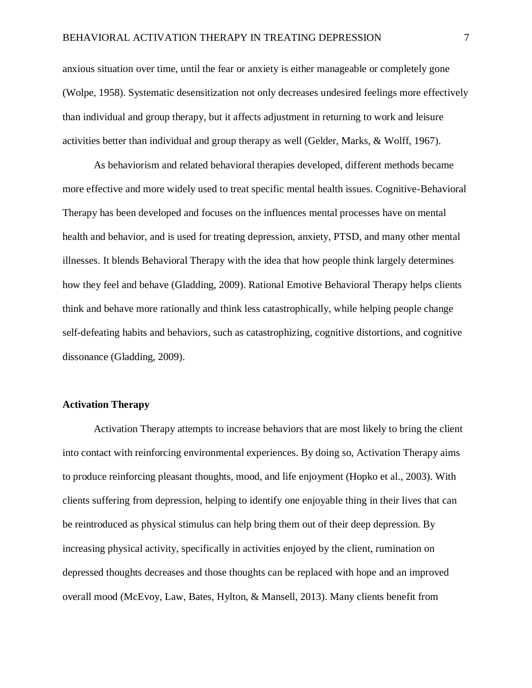anxious situation over time, until the fear or anxiety is either manageable or completely gone (Wolpe, 1958). Systematic desensitization not only decreases undesired feelings more effectively than individual and group therapy, but it affects adjustment in returning to work and leisure activities better than individual and group therapy as well (Gelder, Marks, & Wolff, 1967).

As behaviorism and related behavioral therapies developed, different methods became more effective and more widely used to treat specific mental health issues. Cognitive-Behavioral Therapy has been developed and focuses on the influences mental processes have on mental health and behavior, and is used for treating depression, anxiety, PTSD, and many other mental illnesses. It blends Behavioral Therapy with the idea that how people think largely determines how they feel and behave (Gladding, 2009). Rational Emotive Behavioral Therapy helps clients think and behave more rationally and think less catastrophically, while helping people change self-defeating habits and behaviors, such as catastrophizing, cognitive distortions, and cognitive dissonance (Gladding, 2009).

# **Activation Therapy**

Activation Therapy attempts to increase behaviors that are most likely to bring the client into contact with reinforcing environmental experiences. By doing so, Activation Therapy aims to produce reinforcing pleasant thoughts, mood, and life enjoyment (Hopko et al., 2003). With clients suffering from depression, helping to identify one enjoyable thing in their lives that can be reintroduced as physical stimulus can help bring them out of their deep depression. By increasing physical activity, specifically in activities enjoyed by the client, rumination on depressed thoughts decreases and those thoughts can be replaced with hope and an improved overall mood (McEvoy, Law, Bates, Hylton, & Mansell, 2013). Many clients benefit from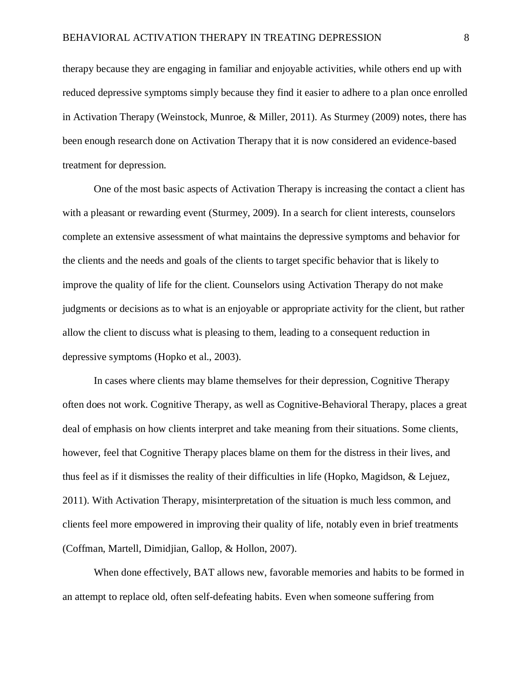therapy because they are engaging in familiar and enjoyable activities, while others end up with reduced depressive symptoms simply because they find it easier to adhere to a plan once enrolled in Activation Therapy (Weinstock, Munroe, & Miller, 2011). As Sturmey (2009) notes, there has been enough research done on Activation Therapy that it is now considered an evidence-based treatment for depression.

One of the most basic aspects of Activation Therapy is increasing the contact a client has with a pleasant or rewarding event (Sturmey, 2009). In a search for client interests, counselors complete an extensive assessment of what maintains the depressive symptoms and behavior for the clients and the needs and goals of the clients to target specific behavior that is likely to improve the quality of life for the client. Counselors using Activation Therapy do not make judgments or decisions as to what is an enjoyable or appropriate activity for the client, but rather allow the client to discuss what is pleasing to them, leading to a consequent reduction in depressive symptoms (Hopko et al., 2003).

In cases where clients may blame themselves for their depression, Cognitive Therapy often does not work. Cognitive Therapy, as well as Cognitive-Behavioral Therapy, places a great deal of emphasis on how clients interpret and take meaning from their situations. Some clients, however, feel that Cognitive Therapy places blame on them for the distress in their lives, and thus feel as if it dismisses the reality of their difficulties in life (Hopko, Magidson, & Lejuez, 2011). With Activation Therapy, misinterpretation of the situation is much less common, and clients feel more empowered in improving their quality of life, notably even in brief treatments (Coffman, Martell, Dimidjian, Gallop, & Hollon, 2007).

When done effectively, BAT allows new, favorable memories and habits to be formed in an attempt to replace old, often self-defeating habits. Even when someone suffering from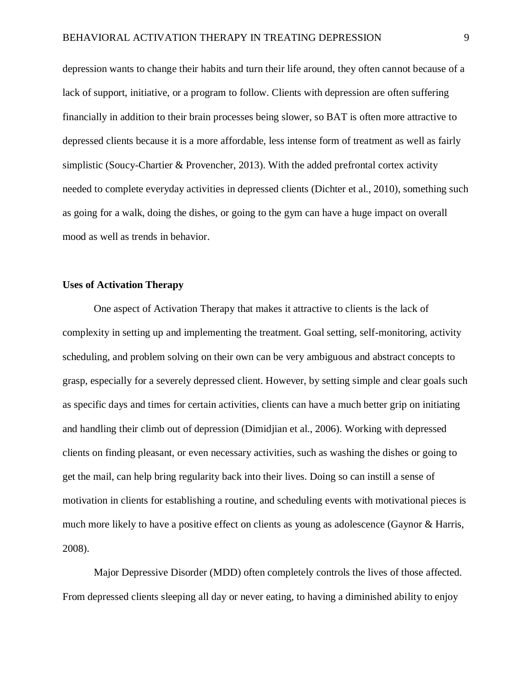depression wants to change their habits and turn their life around, they often cannot because of a lack of support, initiative, or a program to follow. Clients with depression are often suffering financially in addition to their brain processes being slower, so BAT is often more attractive to depressed clients because it is a more affordable, less intense form of treatment as well as fairly simplistic (Soucy-Chartier & Provencher, 2013). With the added prefrontal cortex activity needed to complete everyday activities in depressed clients (Dichter et al., 2010), something such as going for a walk, doing the dishes, or going to the gym can have a huge impact on overall mood as well as trends in behavior.

# **Uses of Activation Therapy**

One aspect of Activation Therapy that makes it attractive to clients is the lack of complexity in setting up and implementing the treatment. Goal setting, self-monitoring, activity scheduling, and problem solving on their own can be very ambiguous and abstract concepts to grasp, especially for a severely depressed client. However, by setting simple and clear goals such as specific days and times for certain activities, clients can have a much better grip on initiating and handling their climb out of depression (Dimidjian et al., 2006). Working with depressed clients on finding pleasant, or even necessary activities, such as washing the dishes or going to get the mail, can help bring regularity back into their lives. Doing so can instill a sense of motivation in clients for establishing a routine, and scheduling events with motivational pieces is much more likely to have a positive effect on clients as young as adolescence (Gaynor & Harris, 2008).

Major Depressive Disorder (MDD) often completely controls the lives of those affected. From depressed clients sleeping all day or never eating, to having a diminished ability to enjoy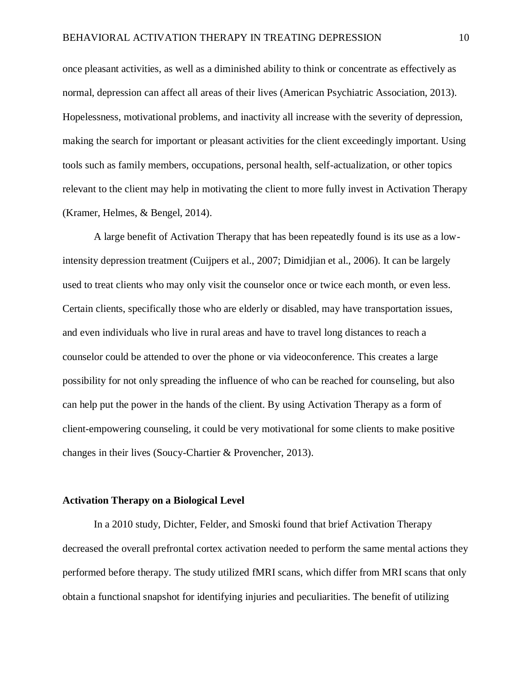once pleasant activities, as well as a diminished ability to think or concentrate as effectively as normal, depression can affect all areas of their lives (American Psychiatric Association, 2013). Hopelessness, motivational problems, and inactivity all increase with the severity of depression, making the search for important or pleasant activities for the client exceedingly important. Using tools such as family members, occupations, personal health, self-actualization, or other topics relevant to the client may help in motivating the client to more fully invest in Activation Therapy (Kramer, Helmes, & Bengel, 2014).

A large benefit of Activation Therapy that has been repeatedly found is its use as a lowintensity depression treatment (Cuijpers et al., 2007; Dimidjian et al., 2006). It can be largely used to treat clients who may only visit the counselor once or twice each month, or even less. Certain clients, specifically those who are elderly or disabled, may have transportation issues, and even individuals who live in rural areas and have to travel long distances to reach a counselor could be attended to over the phone or via videoconference. This creates a large possibility for not only spreading the influence of who can be reached for counseling, but also can help put the power in the hands of the client. By using Activation Therapy as a form of client-empowering counseling, it could be very motivational for some clients to make positive changes in their lives (Soucy-Chartier & Provencher, 2013).

# **Activation Therapy on a Biological Level**

In a 2010 study, Dichter, Felder, and Smoski found that brief Activation Therapy decreased the overall prefrontal cortex activation needed to perform the same mental actions they performed before therapy. The study utilized fMRI scans, which differ from MRI scans that only obtain a functional snapshot for identifying injuries and peculiarities. The benefit of utilizing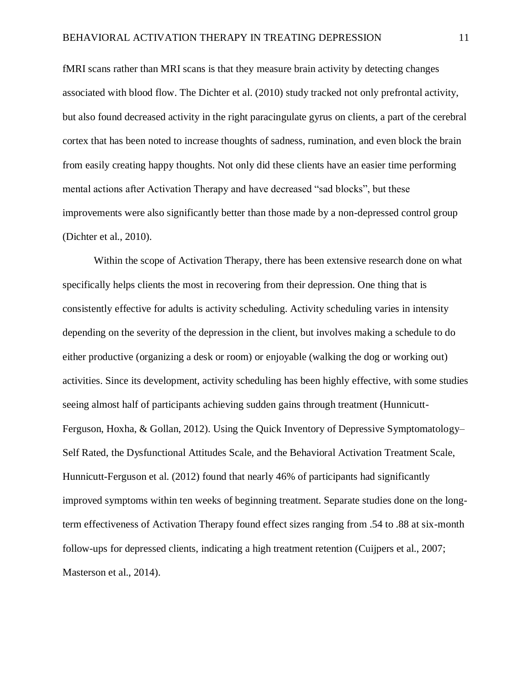fMRI scans rather than MRI scans is that they measure brain activity by detecting changes associated with blood flow. The Dichter et al. (2010) study tracked not only prefrontal activity, but also found decreased activity in the right paracingulate gyrus on clients, a part of the cerebral cortex that has been noted to increase thoughts of sadness, rumination, and even block the brain from easily creating happy thoughts. Not only did these clients have an easier time performing mental actions after Activation Therapy and have decreased "sad blocks", but these improvements were also significantly better than those made by a non-depressed control group (Dichter et al., 2010).

Within the scope of Activation Therapy, there has been extensive research done on what specifically helps clients the most in recovering from their depression. One thing that is consistently effective for adults is activity scheduling. Activity scheduling varies in intensity depending on the severity of the depression in the client, but involves making a schedule to do either productive (organizing a desk or room) or enjoyable (walking the dog or working out) activities. Since its development, activity scheduling has been highly effective, with some studies seeing almost half of participants achieving sudden gains through treatment (Hunnicutt-Ferguson, Hoxha, & Gollan, 2012). Using the Quick Inventory of Depressive Symptomatology– Self Rated, the Dysfunctional Attitudes Scale, and the Behavioral Activation Treatment Scale, Hunnicutt-Ferguson et al. (2012) found that nearly 46% of participants had significantly improved symptoms within ten weeks of beginning treatment. Separate studies done on the longterm effectiveness of Activation Therapy found effect sizes ranging from .54 to .88 at six-month follow-ups for depressed clients, indicating a high treatment retention (Cuijpers et al., 2007; Masterson et al., 2014).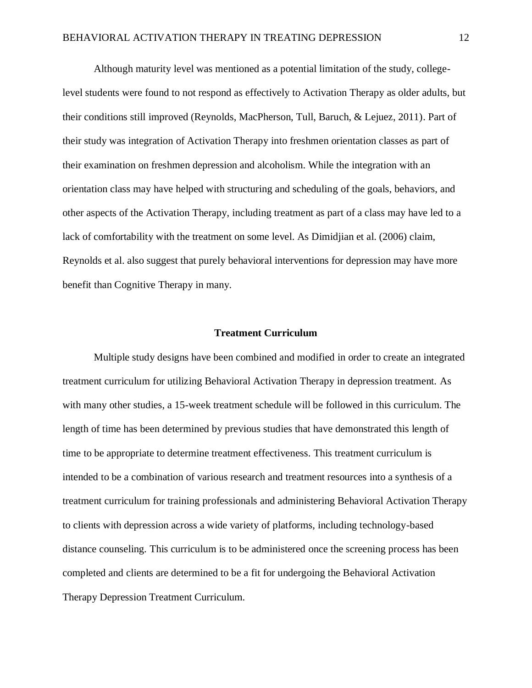Although maturity level was mentioned as a potential limitation of the study, collegelevel students were found to not respond as effectively to Activation Therapy as older adults, but their conditions still improved (Reynolds, MacPherson, Tull, Baruch, & Lejuez, 2011). Part of their study was integration of Activation Therapy into freshmen orientation classes as part of their examination on freshmen depression and alcoholism. While the integration with an orientation class may have helped with structuring and scheduling of the goals, behaviors, and other aspects of the Activation Therapy, including treatment as part of a class may have led to a lack of comfortability with the treatment on some level. As Dimidjian et al. (2006) claim, Reynolds et al. also suggest that purely behavioral interventions for depression may have more benefit than Cognitive Therapy in many.

#### **Treatment Curriculum**

Multiple study designs have been combined and modified in order to create an integrated treatment curriculum for utilizing Behavioral Activation Therapy in depression treatment. As with many other studies, a 15-week treatment schedule will be followed in this curriculum. The length of time has been determined by previous studies that have demonstrated this length of time to be appropriate to determine treatment effectiveness. This treatment curriculum is intended to be a combination of various research and treatment resources into a synthesis of a treatment curriculum for training professionals and administering Behavioral Activation Therapy to clients with depression across a wide variety of platforms, including technology-based distance counseling. This curriculum is to be administered once the screening process has been completed and clients are determined to be a fit for undergoing the Behavioral Activation Therapy Depression Treatment Curriculum.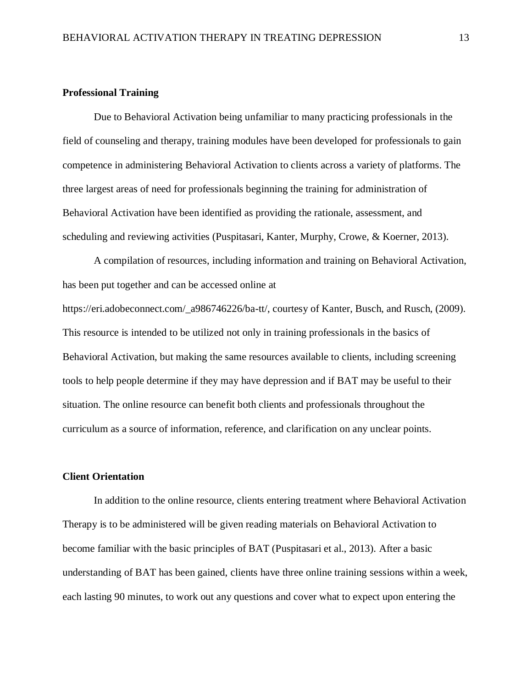# **Professional Training**

Due to Behavioral Activation being unfamiliar to many practicing professionals in the field of counseling and therapy, training modules have been developed for professionals to gain competence in administering Behavioral Activation to clients across a variety of platforms. The three largest areas of need for professionals beginning the training for administration of Behavioral Activation have been identified as providing the rationale, assessment, and scheduling and reviewing activities (Puspitasari, Kanter, Murphy, Crowe, & Koerner, 2013).

A compilation of resources, including information and training on Behavioral Activation, has been put together and can be accessed online at

https://eri.adobeconnect.com/\_a986746226/ba-tt/, courtesy of Kanter, Busch, and Rusch, (2009). This resource is intended to be utilized not only in training professionals in the basics of Behavioral Activation, but making the same resources available to clients, including screening tools to help people determine if they may have depression and if BAT may be useful to their situation. The online resource can benefit both clients and professionals throughout the curriculum as a source of information, reference, and clarification on any unclear points.

# **Client Orientation**

In addition to the online resource, clients entering treatment where Behavioral Activation Therapy is to be administered will be given reading materials on Behavioral Activation to become familiar with the basic principles of BAT (Puspitasari et al., 2013). After a basic understanding of BAT has been gained, clients have three online training sessions within a week, each lasting 90 minutes, to work out any questions and cover what to expect upon entering the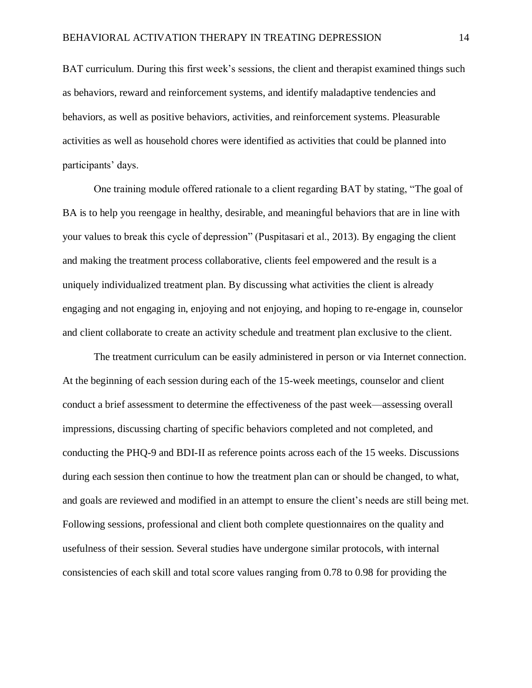BAT curriculum. During this first week's sessions, the client and therapist examined things such as behaviors, reward and reinforcement systems, and identify maladaptive tendencies and behaviors, as well as positive behaviors, activities, and reinforcement systems. Pleasurable activities as well as household chores were identified as activities that could be planned into participants' days.

One training module offered rationale to a client regarding BAT by stating, "The goal of BA is to help you reengage in healthy, desirable, and meaningful behaviors that are in line with your values to break this cycle of depression" (Puspitasari et al., 2013). By engaging the client and making the treatment process collaborative, clients feel empowered and the result is a uniquely individualized treatment plan. By discussing what activities the client is already engaging and not engaging in, enjoying and not enjoying, and hoping to re-engage in, counselor and client collaborate to create an activity schedule and treatment plan exclusive to the client.

The treatment curriculum can be easily administered in person or via Internet connection. At the beginning of each session during each of the 15-week meetings, counselor and client conduct a brief assessment to determine the effectiveness of the past week—assessing overall impressions, discussing charting of specific behaviors completed and not completed, and conducting the PHQ-9 and BDI-II as reference points across each of the 15 weeks. Discussions during each session then continue to how the treatment plan can or should be changed, to what, and goals are reviewed and modified in an attempt to ensure the client's needs are still being met. Following sessions, professional and client both complete questionnaires on the quality and usefulness of their session. Several studies have undergone similar protocols, with internal consistencies of each skill and total score values ranging from 0.78 to 0.98 for providing the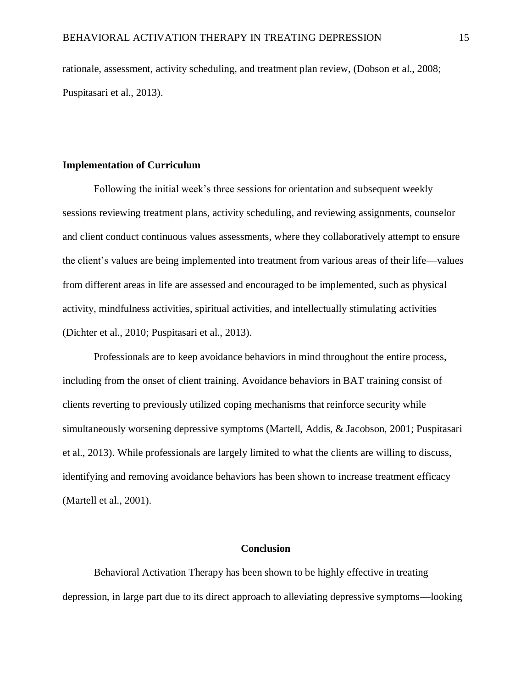rationale, assessment, activity scheduling, and treatment plan review, (Dobson et al., 2008; Puspitasari et al., 2013).

# **Implementation of Curriculum**

Following the initial week's three sessions for orientation and subsequent weekly sessions reviewing treatment plans, activity scheduling, and reviewing assignments, counselor and client conduct continuous values assessments, where they collaboratively attempt to ensure the client's values are being implemented into treatment from various areas of their life—values from different areas in life are assessed and encouraged to be implemented, such as physical activity, mindfulness activities, spiritual activities, and intellectually stimulating activities (Dichter et al., 2010; Puspitasari et al., 2013).

Professionals are to keep avoidance behaviors in mind throughout the entire process, including from the onset of client training. Avoidance behaviors in BAT training consist of clients reverting to previously utilized coping mechanisms that reinforce security while simultaneously worsening depressive symptoms (Martell, Addis, & Jacobson, 2001; Puspitasari et al., 2013). While professionals are largely limited to what the clients are willing to discuss, identifying and removing avoidance behaviors has been shown to increase treatment efficacy (Martell et al., 2001).

### **Conclusion**

Behavioral Activation Therapy has been shown to be highly effective in treating depression, in large part due to its direct approach to alleviating depressive symptoms—looking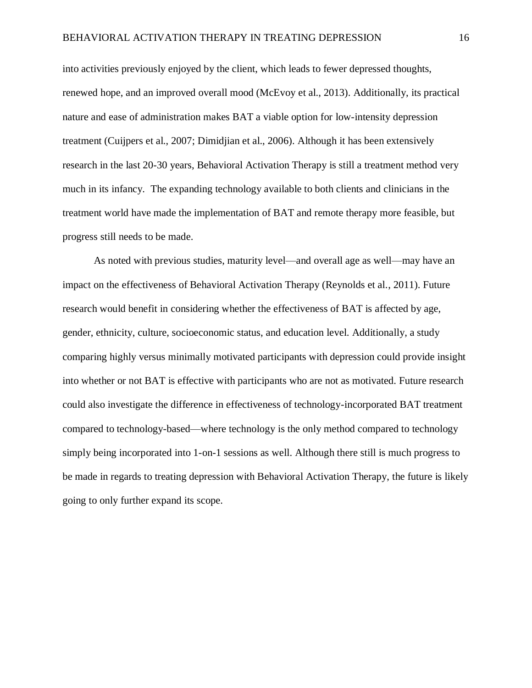into activities previously enjoyed by the client, which leads to fewer depressed thoughts, renewed hope, and an improved overall mood (McEvoy et al., 2013). Additionally, its practical nature and ease of administration makes BAT a viable option for low-intensity depression treatment (Cuijpers et al., 2007; Dimidjian et al., 2006). Although it has been extensively research in the last 20-30 years, Behavioral Activation Therapy is still a treatment method very much in its infancy. The expanding technology available to both clients and clinicians in the treatment world have made the implementation of BAT and remote therapy more feasible, but progress still needs to be made.

As noted with previous studies, maturity level—and overall age as well—may have an impact on the effectiveness of Behavioral Activation Therapy (Reynolds et al., 2011). Future research would benefit in considering whether the effectiveness of BAT is affected by age, gender, ethnicity, culture, socioeconomic status, and education level. Additionally, a study comparing highly versus minimally motivated participants with depression could provide insight into whether or not BAT is effective with participants who are not as motivated. Future research could also investigate the difference in effectiveness of technology-incorporated BAT treatment compared to technology-based—where technology is the only method compared to technology simply being incorporated into 1-on-1 sessions as well. Although there still is much progress to be made in regards to treating depression with Behavioral Activation Therapy, the future is likely going to only further expand its scope.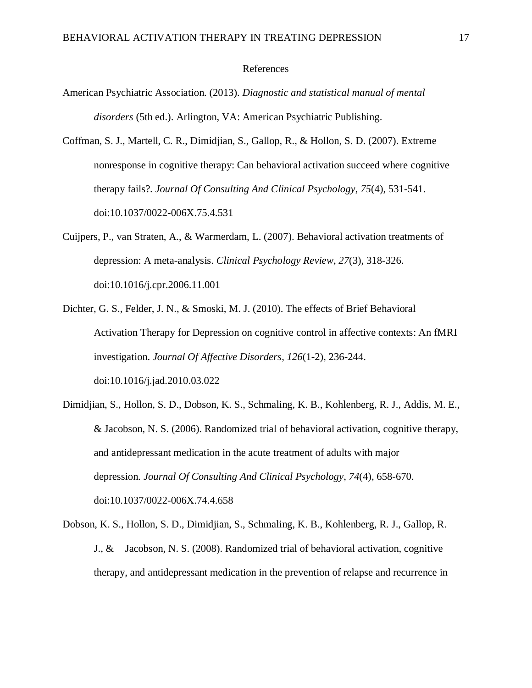# References

- American Psychiatric Association. (2013). *Diagnostic and statistical manual of mental disorders* (5th ed.). Arlington, VA: American Psychiatric Publishing.
- Coffman, S. J., Martell, C. R., Dimidjian, S., Gallop, R., & Hollon, S. D. (2007). Extreme nonresponse in cognitive therapy: Can behavioral activation succeed where cognitive therapy fails?. *Journal Of Consulting And Clinical Psychology*, *75*(4), 531-541. doi:10.1037/0022-006X.75.4.531
- Cuijpers, P., van Straten, A., & Warmerdam, L. (2007). Behavioral activation treatments of depression: A meta-analysis. *Clinical Psychology Review*, *27*(3), 318-326. doi:10.1016/j.cpr.2006.11.001
- Dichter, G. S., Felder, J. N., & Smoski, M. J. (2010). The effects of Brief Behavioral Activation Therapy for Depression on cognitive control in affective contexts: An fMRI investigation. *Journal Of Affective Disorders*, *126*(1-2), 236-244. doi:10.1016/j.jad.2010.03.022
- Dimidjian, S., Hollon, S. D., Dobson, K. S., Schmaling, K. B., Kohlenberg, R. J., Addis, M. E., & Jacobson, N. S. (2006). Randomized trial of behavioral activation, cognitive therapy, and antidepressant medication in the acute treatment of adults with major depression. *Journal Of Consulting And Clinical Psychology*, *74*(4), 658-670. doi:10.1037/0022-006X.74.4.658
- Dobson, K. S., Hollon, S. D., Dimidjian, S., Schmaling, K. B., Kohlenberg, R. J., Gallop, R. J., & Jacobson, N. S. (2008). Randomized trial of behavioral activation, cognitive therapy, and antidepressant medication in the prevention of relapse and recurrence in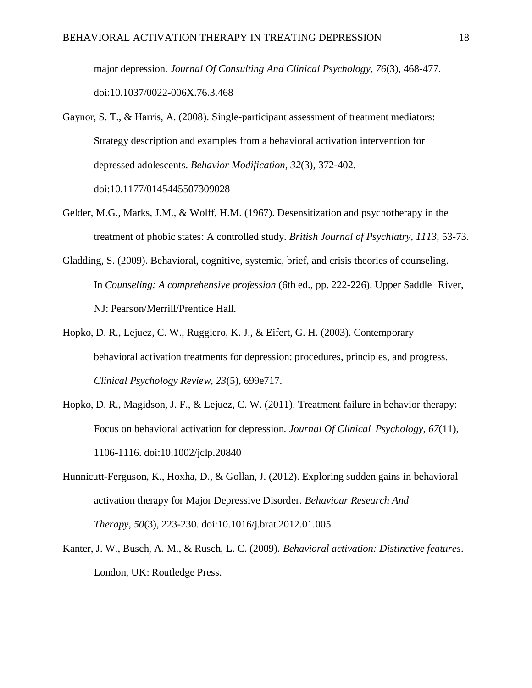major depression. *Journal Of Consulting And Clinical Psychology*, *76*(3), 468-477. doi:10.1037/0022-006X.76.3.468

- Gaynor, S. T., & Harris, A. (2008). Single-participant assessment of treatment mediators: Strategy description and examples from a behavioral activation intervention for depressed adolescents. *Behavior Modification*, *32*(3), 372-402. doi:10.1177/0145445507309028
- Gelder, M.G., Marks, J.M., & Wolff, H.M. (1967). Desensitization and psychotherapy in the treatment of phobic states: A controlled study. *British Journal of Psychiatry, 1113,* 53-73.
- Gladding, S. (2009). Behavioral, cognitive, systemic, brief, and crisis theories of counseling. In *Counseling: A comprehensive profession* (6th ed., pp. 222-226). Upper Saddle River, NJ: Pearson/Merrill/Prentice Hall.
- Hopko, D. R., Lejuez, C. W., Ruggiero, K. J., & Eifert, G. H. (2003). Contemporary behavioral activation treatments for depression: procedures, principles, and progress. *Clinical Psychology Review, 23*(5), 699e717.
- Hopko, D. R., Magidson, J. F., & Lejuez, C. W. (2011). Treatment failure in behavior therapy: Focus on behavioral activation for depression. *Journal Of Clinical Psychology*, *67*(11), 1106-1116. doi:10.1002/jclp.20840
- Hunnicutt-Ferguson, K., Hoxha, D., & Gollan, J. (2012). Exploring sudden gains in behavioral activation therapy for Major Depressive Disorder. *Behaviour Research And Therapy*, *50*(3), 223-230. doi:10.1016/j.brat.2012.01.005
- Kanter, J. W., Busch, A. M., & Rusch, L. C. (2009). *Behavioral activation: Distinctive features*. London, UK: Routledge Press.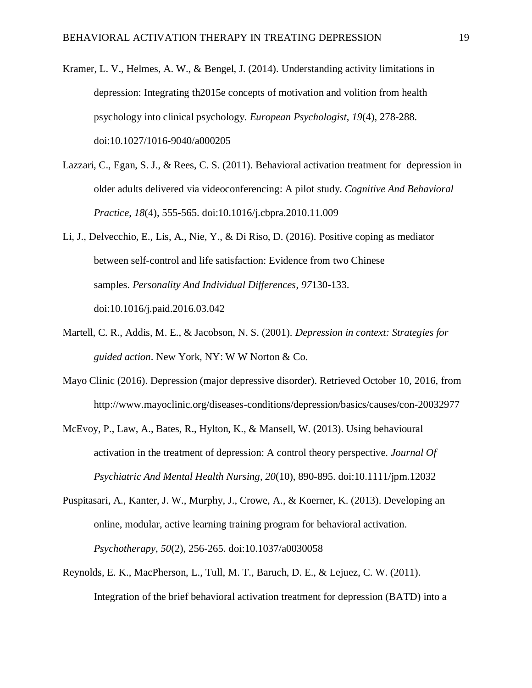- Kramer, L. V., Helmes, A. W., & Bengel, J. (2014). Understanding activity limitations in depression: Integrating th2015e concepts of motivation and volition from health psychology into clinical psychology. *European Psychologist*, *19*(4), 278-288. doi:10.1027/1016-9040/a000205
- Lazzari, C., Egan, S. J., & Rees, C. S. (2011). Behavioral activation treatment for depression in older adults delivered via videoconferencing: A pilot study. *Cognitive And Behavioral Practice*, *18*(4), 555-565. doi:10.1016/j.cbpra.2010.11.009
- Li, J., Delvecchio, E., Lis, A., Nie, Y., & Di Riso, D. (2016). Positive coping as mediator between self-control and life satisfaction: Evidence from two Chinese samples. *Personality And Individual Differences*, *97*130-133. doi:10.1016/j.paid.2016.03.042
- Martell, C. R., Addis, M. E., & Jacobson, N. S. (2001). *Depression in context: Strategies for guided action*. New York, NY: W W Norton & Co.
- Mayo Clinic (2016). Depression (major depressive disorder). Retrieved October 10, 2016, from http://www.mayoclinic.org/diseases-conditions/depression/basics/causes/con-20032977
- McEvoy, P., Law, A., Bates, R., Hylton, K., & Mansell, W. (2013). Using behavioural activation in the treatment of depression: A control theory perspective. *Journal Of Psychiatric And Mental Health Nursing*, *20*(10), 890-895. doi:10.1111/jpm.12032
- Puspitasari, A., Kanter, J. W., Murphy, J., Crowe, A., & Koerner, K. (2013). Developing an online, modular, active learning training program for behavioral activation. *Psychotherapy*, *50*(2), 256-265. doi:10.1037/a0030058
- Reynolds, E. K., MacPherson, L., Tull, M. T., Baruch, D. E., & Lejuez, C. W. (2011). Integration of the brief behavioral activation treatment for depression (BATD) into a